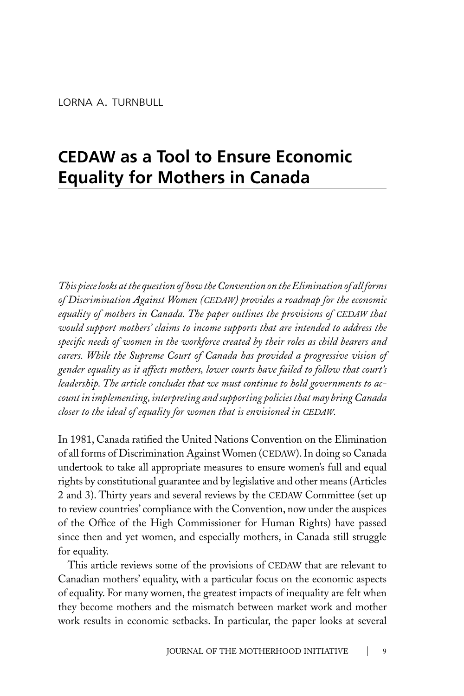# **cedaw as a Tool to Ensure Economic Equality for Mothers in Canada**

*This piece looks at the question of how the Convention on the Elimination of all forms of Discrimination Against Women (cedaw) provides a roadmap for the economic equality of mothers in Canada. The paper outlines the provisions of CEDAW that would support mothers' claims to income supports that are intended to address the specific needs of women in the workforce created by their roles as child bearers and carers. While the Supreme Court of Canada has provided a progressive vision of gender equality as it affects mothers, lower courts have failed to follow that court's leadership. The article concludes that we must continue to hold governments to account in implementing, interpreting and supporting policies that may bring Canada closer to the ideal of equality for women that is envisioned in CEDAW*.

In 1981, Canada ratified the United Nations Convention on the Elimination of all forms of Discrimination Against Women (CEDAW). In doing so Canada undertook to take all appropriate measures to ensure women's full and equal rights by constitutional guarantee and by legislative and other means (Articles 2 and 3). Thirty years and several reviews by the CEDAW Committee (set up to review countries' compliance with the Convention, now under the auspices of the Office of the High Commissioner for Human Rights) have passed since then and yet women, and especially mothers, in Canada still struggle for equality.

This article reviews some of the provisions of CEDAW that are relevant to Canadian mothers' equality, with a particular focus on the economic aspects of equality. For many women, the greatest impacts of inequality are felt when they become mothers and the mismatch between market work and mother work results in economic setbacks. In particular, the paper looks at several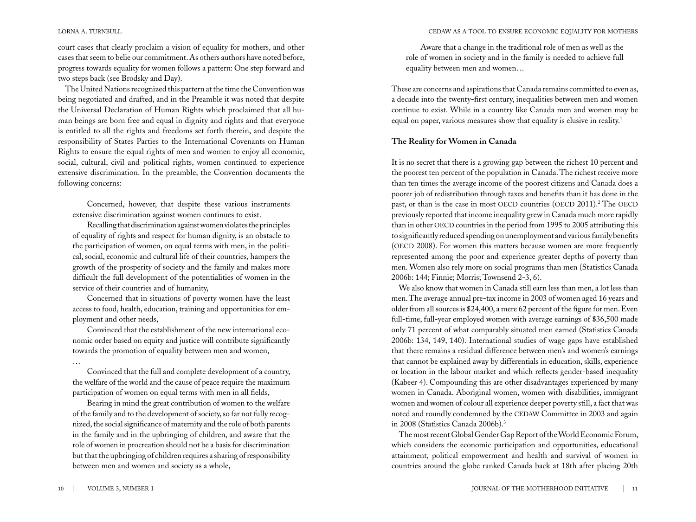court cases that clearly proclaim a vision of equality for mothers, and other cases that seem to belie our commitment. As others authors have noted before, progress towards equality for women follows a pattern: One step forward and two steps back (see Brodsky and Day).

The United Nations recognized this pattern at the time the Convention was being negotiated and drafted, and in the Preamble it was noted that despite the Universal Declaration of Human Rights which proclaimed that all human beings are born free and equal in dignity and rights and that everyone is entitled to all the rights and freedoms set forth therein, and despite the responsibility of States Parties to the International Covenants on Human Rights to ensure the equal rights of men and women to enjoy all economic, social, cultural, civil and political rights, women continued to experience extensive discrimination. In the preamble, the Convention documents the following concerns:

Concerned, however, that despite these various instruments extensive discrimination against women continues to exist.

Recalling that discrimination against women violates the principles of equality of rights and respect for human dignity, is an obstacle to the participation of women, on equal terms with men, in the political, social, economic and cultural life of their countries, hampers the growth of the prosperity of society and the family and makes more difficult the full development of the potentialities of women in the service of their countries and of humanity,

Concerned that in situations of poverty women have the least access to food, health, education, training and opportunities for employment and other needs,

Convinced that the establishment of the new international economic order based on equity and justice will contribute significantly towards the promotion of equality between men and women,

Convinced that the full and complete development of a country, the welfare of the world and the cause of peace require the maximum participation of women on equal terms with men in all fields,

Bearing in mind the great contribution of women to the welfare of the family and to the development of society, so far not fully recognized, the social significance of maternity and the role of both parents in the family and in the upbringing of children, and aware that the role of women in procreation should not be a basis for discrimination but that the upbringing of children requires a sharing of responsibility between men and women and society as a whole,

Aware that a change in the traditional role of men as well as the role of women in society and in the family is needed to achieve full equality between men and women…

These are concerns and aspirations that Canada remains committed to even as, a decade into the twenty-first century, inequalities between men and women continue to exist. While in a country like Canada men and women may be equal on paper, various measures show that equality is elusive in reality.<sup>1</sup>

# **The Reality for Women in Canada**

It is no secret that there is a growing gap between the richest 10 percent and the poorest ten percent of the population in Canada. The richest receive more than ten times the average income of the poorest citizens and Canada does a poorer job of redistribution through taxes and benefits than it has done in the past, or than is the case in most OECD countries (OECD 2011).<sup>2</sup> The OECD previously reported that income inequality grew in Canada much more rapidly than in other OECD countries in the period from 1995 to 2005 attributing this to significantly reduced spending on unemployment and various family benefits (OECD 2008). For women this matters because women are more frequently represented among the poor and experience greater depths of poverty than men. Women also rely more on social programs than men (Statistics Canada 2006b: 144; Finnie; Morris; Townsend 2-3, 6).

We also know that women in Canada still earn less than men, a lot less than men. The average annual pre-tax income in 2003 of women aged 16 years and older from all sources is \$24,400, a mere 62 percent of the figure for men. Even full-time, full-year employed women with average earnings of \$36,500 made only 71 percent of what comparably situated men earned (Statistics Canada 2006b: 134, 149, 140). International studies of wage gaps have established that there remains a residual difference between men's and women's earnings that cannot be explained away by differentials in education, skills, experience or location in the labour market and which reflects gender-based inequality (Kabeer 4). Compounding this are other disadvantages experienced by many women in Canada. Aboriginal women, women with disabilities, immigrant women and women of colour all experience deeper poverty still, a fact that was noted and roundly condemned by the CEDAW Committee in 2003 and again in 2008 (Statistics Canada 2006b).3

The most recent Global Gender Gap Report of the World Economic Forum, which considers the economic participation and opportunities, educational attainment, political empowerment and health and survival of women in countries around the globe ranked Canada back at 18th after placing 20th

…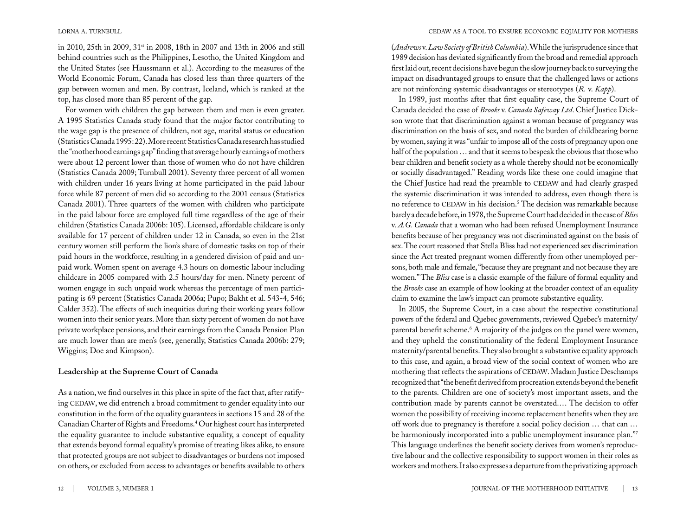### lorna a. turnbull cedaw as a tool to ensure economic equality for mothers

in 2010, 25th in 2009, 31<sup>st</sup> in 2008, 18th in 2007 and 13th in 2006 and still behind countries such as the Philippines, Lesotho, the United Kingdom and the United States (see Haussmann et al.). According to the measures of the World Economic Forum, Canada has closed less than three quarters of the gap between women and men. By contrast, Iceland, which is ranked at the top, has closed more than 85 percent of the gap.

For women with children the gap between them and men is even greater. A 1995 Statistics Canada study found that the major factor contributing to the wage gap is the presence of children, not age, marital status or education (Statistics Canada 1995: 22). More recent Statistics Canada research has studied the "motherhood earnings gap" finding that average hourly earnings of mothers were about 12 percent lower than those of women who do not have children (Statistics Canada 2009; Turnbull 2001). Seventy three percent of all women with children under 16 years living at home participated in the paid labour force while 87 percent of men did so according to the 2001 census (Statistics Canada 2001). Three quarters of the women with children who participate in the paid labour force are employed full time regardless of the age of their children (Statistics Canada 2006b: 105). Licensed, affordable childcare is only available for 17 percent of children under 12 in Canada, so even in the 21st century women still perform the lion's share of domestic tasks on top of their paid hours in the workforce, resulting in a gendered division of paid and unpaid work. Women spent on average 4.3 hours on domestic labour including childcare in 2005 compared with 2.5 hours/day for men. Ninety percent of women engage in such unpaid work whereas the percentage of men participating is 69 percent (Statistics Canada 2006a; Pupo; Bakht et al. 543-4, 546; Calder 352). The effects of such inequities during their working years follow women into their senior years. More than sixty percent of women do not have private workplace pensions, and their earnings from the Canada Pension Plan are much lower than are men's (see, generally, Statistics Canada 2006b: 279; Wiggins; Doe and Kimpson).

### **Leadership at the Supreme Court of Canada**

As a nation, we find ourselves in this place in spite of the fact that, after ratifying CEDAW, we did entrench a broad commitment to gender equality into our constitution in the form of the equality guarantees in sections 15 and 28 of the Canadian Charter of Rights and Freedoms.4 Our highest court has interpreted the equality guarantee to include substantive equality, a concept of equality that extends beyond formal equality's promise of treating likes alike, to ensure that protected groups are not subject to disadvantages or burdens not imposed on others, or excluded from access to advantages or benefits available to others

(*Andrews* v. *Law Society of British Columbia*). While the jurisprudence since that 1989 decision has deviated significantly from the broad and remedial approach first laid out, recent decisions have begun the slow journey back to surveying the impact on disadvantaged groups to ensure that the challenged laws or actions are not reinforcing systemic disadvantages or stereotypes (*R.* v. *Kapp*).

In 1989, just months after that first equality case, the Supreme Court of Canada decided the case of *Brooks* v. *Canada Safeway Ltd*. Chief Justice Dickson wrote that that discrimination against a woman because of pregnancy was discrimination on the basis of sex, and noted the burden of childbearing borne by women, saying it was "unfair to impose all of the costs of pregnancy upon one half of the population … and that it seems to bespeak the obvious that those who bear children and benefit society as a whole thereby should not be economically or socially disadvantaged." Reading words like these one could imagine that the Chief Justice had read the preamble to CEDAW and had clearly grasped the systemic discrimination it was intended to address, even though there is no reference to CEDAW in his decision.<sup>5</sup> The decision was remarkable because barely a decade before, in 1978, the Supreme Court had decided in the case of *Bliss*  v. *A.G. Canada* that a woman who had been refused Unemployment Insurance benefits because of her pregnancy was not discriminated against on the basis of sex. The court reasoned that Stella Bliss had not experienced sex discrimination since the Act treated pregnant women differently from other unemployed persons, both male and female, "because they are pregnant and not because they are women." The *Bliss* case is a classic example of the failure of formal equality and the *Brooks* case an example of how looking at the broader context of an equality claim to examine the law's impact can promote substantive equality.

In 2005, the Supreme Court, in a case about the respective constitutional powers of the federal and Quebec governments, reviewed Quebec's maternity/ parental benefit scheme.<sup>6</sup> A majority of the judges on the panel were women, and they upheld the constitutionality of the federal Employment Insurance maternity/parental benefits. They also brought a substantive equality approach to this case, and again, a broad view of the social context of women who are mothering that reflects the aspirations of CEDAW. Madam Justice Deschamps recognized that "the benefit derived from procreation extends beyond the benefit to the parents. Children are one of society's most important assets, and the contribution made by parents cannot be overstated.… The decision to offer women the possibility of receiving income replacement benefits when they are off work due to pregnancy is therefore a social policy decision … that can … be harmoniously incorporated into a public unemployment insurance plan."7 This language underlines the benefit society derives from women's reproductive labour and the collective responsibility to support women in their roles as workers and mothers. It also expresses a departure from the privatizing approach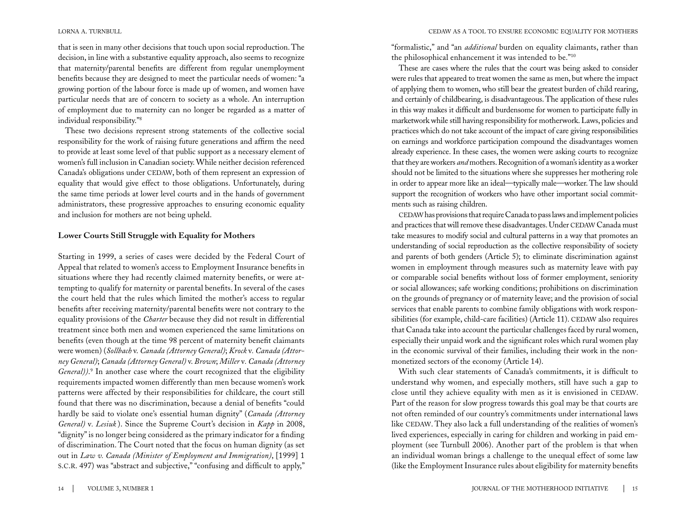### lorna a. turnbull cedaw as a tool to ensure economic equality for mothers

that is seen in many other decisions that touch upon social reproduction. The decision, in line with a substantive equality approach, also seems to recognize that maternity/parental benefits are different from regular unemployment benefits because they are designed to meet the particular needs of women: "a growing portion of the labour force is made up of women, and women have particular needs that are of concern to society as a whole. An interruption of employment due to maternity can no longer be regarded as a matter of individual responsibility."8

These two decisions represent strong statements of the collective social responsibility for the work of raising future generations and affirm the need to provide at least some level of that public support as a necessary element of women's full inclusion in Canadian society. While neither decision referenced Canada's obligations under CEDAW, both of them represent an expression of equality that would give effect to those obligations. Unfortunately, during the same time periods at lower level courts and in the hands of government administrators, these progressive approaches to ensuring economic equality and inclusion for mothers are not being upheld.

## **Lower Courts Still Struggle with Equality for Mothers**

Starting in 1999, a series of cases were decided by the Federal Court of Appeal that related to women's access to Employment Insurance benefits in situations where they had recently claimed maternity benefits, or were attempting to qualify for maternity or parental benefits. In several of the cases the court held that the rules which limited the mother's access to regular benefits after receiving maternity/parental benefits were not contrary to the equality provisions of the *Charter* because they did not result in differential treatment since both men and women experienced the same limitations on benefits (even though at the time 98 percent of maternity benefit claimants were women) (*Sollbach* v. *Canada (Attorney General)*; *Krock* v*. Canada (Attorney General)*; *Canada (Attorney General)* v. *Brown*; *Miller* v*. Canada (Attorney*  General)).<sup>9</sup> In another case where the court recognized that the eligibility requirements impacted women differently than men because women's work patterns were affected by their responsibilities for childcare, the court still found that there was no discrimination, because a denial of benefits "could hardly be said to violate one's essential human dignity" (*Canada (Attorney General)* v*. Lesiuk* ). Since the Supreme Court's decision in *Kapp* in 2008, "dignity" is no longer being considered as the primary indicator for a finding of discrimination. The Court noted that the focus on human dignity (as set out in *Law v. Canada (Minister of Employment and Immigration)*, [1999] 1 s.C.R. 497) was "abstract and subjective," "confusing and difficult to apply,"

"formalistic," and "an *additional* burden on equality claimants, rather than the philosophical enhancement it was intended to be."10

These are cases where the rules that the court was being asked to consider were rules that appeared to treat women the same as men, but where the impact of applying them to women, who still bear the greatest burden of child rearing, and certainly of childbearing, is disadvantageous. The application of these rules in this way makes it difficult and burdensome for women to participate fully in marketwork while still having responsibility for motherwork. Laws, policies and practices which do not take account of the impact of care giving responsibilities on earnings and workforce participation compound the disadvantages women already experience. In these cases, the women were asking courts to recognize that they are workers *and* mothers. Recognition of a woman's identity as a worker should not be limited to the situations where she suppresses her mothering role in order to appear more like an ideal—typically male—worker. The law should support the recognition of workers who have other important social commitments such as raising children.

ceDAW has provisions that require Canada to pass laws and implement policies and practices that will remove these disadvantages. Under CEDAW Canada must take measures to modify social and cultural patterns in a way that promotes an understanding of social reproduction as the collective responsibility of society and parents of both genders (Article 5); to eliminate discrimination against women in employment through measures such as maternity leave with pay or comparable social benefits without loss of former employment, seniority or social allowances; safe working conditions; prohibitions on discrimination on the grounds of pregnancy or of maternity leave; and the provision of social services that enable parents to combine family obligations with work responsibilities (for example, child-care facilities) (Article 11). CEDAW also requires that Canada take into account the particular challenges faced by rural women, especially their unpaid work and the significant roles which rural women play in the economic survival of their families, including their work in the nonmonetized sectors of the economy (Article 14).

With such clear statements of Canada's commitments, it is difficult to understand why women, and especially mothers, still have such a gap to close until they achieve equality with men as it is envisioned in CEDAW. Part of the reason for slow progress towards this goal may be that courts are not often reminded of our country's commitments under international laws like CEDAW. They also lack a full understanding of the realities of women's lived experiences, especially in caring for children and working in paid employment (see Turnbull 2006). Another part of the problem is that when an individual woman brings a challenge to the unequal effect of some law (like the Employment Insurance rules about eligibility for maternity benefits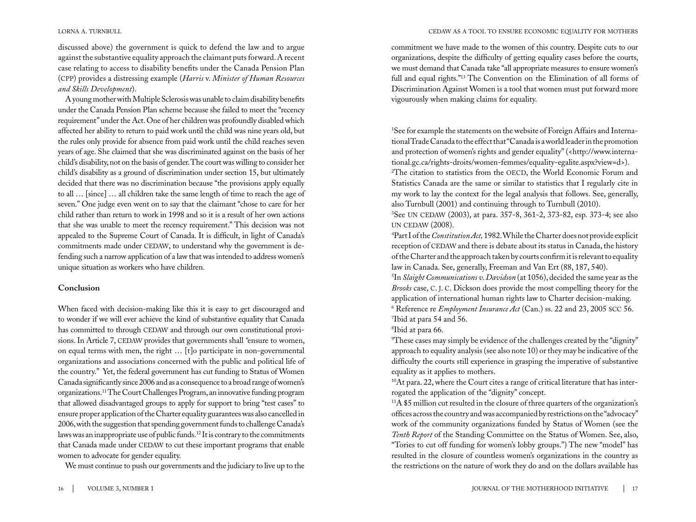discussed above) the government is quick to defend the law and to argue against the substantive equality approach the claimant puts forward. A recent case relating to access to disability benefits under the Canada Pension Plan (cpp) provides a distressing example (*Harris* v. *Minister of Human Resources and Skills Development*).

A young mother with Multiple Sclerosis was unable to claim disability benefits under the Canada Pension Plan scheme because she failed to meet the "recency requirement" under the Act. One of her children was profoundly disabled which affected her ability to return to paid work until the child was nine years old, but the rules only provide for absence from paid work until the child reaches seven years of age. She claimed that she was discriminated against on the basis of her child's disability, not on the basis of gender. The court was willing to consider her child's disability as a ground of discrimination under section 15, but ultimately decided that there was no discrimination because "the provisions apply equally to all … [since] … all children take the same length of time to reach the age of seven." One judge even went on to say that the claimant "chose to care for her child rather than return to work in 1998 and so it is a result of her own actions that she was unable to meet the recency requirement." This decision was not appealed to the Supreme Court of Canada. It is difficult, in light of Canada's commitments made under CEDAW, to understand why the government is defending such a narrow application of a law that was intended to address women's unique situation as workers who have children.

# **Conclusion**

When faced with decision-making like this it is easy to get discouraged and to wonder if we will ever achieve the kind of substantive equality that Canada has committed to through CEDAW and through our own constitutional provisions. In Article 7, CEDAW provides that governments shall "ensure to women, on equal terms with men, the right … [t]o participate in non-governmental organizations and associations concerned with the public and political life of the country." Yet, the federal government has cut funding to Status of Women Canada significantly since 2006 and as a consequence to a broad range of women's organizations.11 The Court Challenges Program, an innovative funding program that allowed disadvantaged groups to apply for support to bring "test cases" to ensure proper application of the Charter equality guarantees was also cancelled in 2006, with the suggestion that spending government funds to challenge Canada's laws was an inappropriate use of public funds.<sup>12</sup> It is contrary to the commitments that Canada made under CEDAW to cut these important programs that enable women to advocate for gender equality.

We must continue to push our governments and the judiciary to live up to the

commitment we have made to the women of this country. Despite cuts to our organizations, despite the difficulty of getting equality cases before the courts, we must demand that Canada take "all appropriate measures to ensure women's full and equal rights."13 The Convention on the Elimination of all forms of Discrimination Against Women is a tool that women must put forward more vigourously when making claims for equality.

<sup>1</sup>See for example the statements on the website of Foreign Affairs and International Trade Canada to the effect that "Canada is a world leader in the promotion and protection of women's rights and gender equality" (<http://www.international.gc.ca/rights-droits/women-femmes/equality-egalite.aspx?view=d>).

<sup>2</sup>The citation to statistics from the OECD, the World Economic Forum and Statistics Canada are the same or similar to statistics that I regularly cite in my work to lay the context for the legal analysis that follows. See, generally, also Turnbull (2001) and continuing through to Turnbull (2010).

<sup>3</sup>See UN CEDAW (2003), at para. 357-8, 361-2, 373-82, esp. 373-4; see also un cedaw (2008). 4

Part I of the *Constitution Act,* 1982. While the Charter does not provide explicit reception of CEDAW and there is debate about its status in Canada, the history of the Charter and the approach taken by courts confirm it is relevant to equality law in Canada. See, generally, Freeman and Van Ert (88, 187, 540).

5 In *Slaight Communications v. Davidson* (at 1056), decided the same year as the *Brooks* case, c. j. c. Dickson does provide the most compelling theory for the application of international human rights law to Charter decision-making.

6 Reference re *Employment Insurance Act* (Can.) ss. 22 and 23, 2005 scc 56. 7 Ibid at para 54 and 56.

8 Ibid at para 66.

9 These cases may simply be evidence of the challenges created by the "dignity" approach to equality analysis (see also note 10) or they may be indicative of the difficulty the courts still experience in grasping the imperative of substantive equality as it applies to mothers.

 $^{10}$ At para. 22, where the Court cites a range of critical literature that has interrogated the application of the "dignity" concept.

 $11A $5$  million cut resulted in the closure of three quarters of the organization's offices across the country and was accompanied by restrictions on the "advocacy" work of the community organizations funded by Status of Women (see the *Tenth Report* of the Standing Committee on the Status of Women. See, also, "Tories to cut off funding for women's lobby groups.") The new "model" has resulted in the closure of countless women's organizations in the country as the restrictions on the nature of work they do and on the dollars available has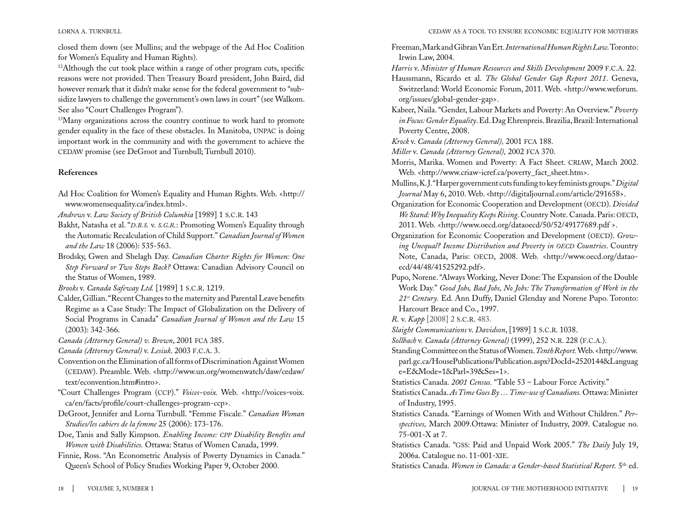closed them down (see Mullins; and the webpage of the Ad Hoc Coalition for Women's Equality and Human Rights).

<sup>12</sup>Although the cut took place within a range of other program cuts, specific reasons were not provided. Then Treasury Board president, John Baird, did however remark that it didn't make sense for the federal government to "subsidize lawyers to challenge the government's own laws in court" (see Walkom. See also "Court Challenges Program").

<sup>13</sup>Many organizations across the country continue to work hard to promote gender equality in the face of these obstacles. In Manitoba, UNPAC is doing important work in the community and with the government to achieve the CEDAW promise (see DeGroot and Turnbull; Turnbull 2010).

# **References**

- Ad Hoc Coalition for Women's Equality and Human Rights. Web. <http:// www.womensequality.ca/index.html>.
- *Andrews* v. *Law Society of British Columbia* [1989] 1 s.c.r. 143
- Bakht, Natasha et al. "D.B.S. v. S.G.R.: Promoting Women's Equality through the Automatic Recalculation of Child Support." *Canadian Journal of Women and the Law* 18 (2006): 535-563.
- Brodsky, Gwen and Shelagh Day. *Canadian Charter Rights for Women: One Step Forward or Two Steps Back?* Ottawa: Canadian Advisory Council on the Status of Women, 1989.

*Brooks* v. *Canada Safeway Ltd.* [1989] 1 s.c.r. 1219.

- Calder, Gillian. "Recent Changes to the maternity and Parental Leave benefits Regime as a Case Study: The Impact of Globalization on the Delivery of Social Programs in Canada" *Canadian Journal of Women and the Law* 15 (2003): 342-366.
- *Canada (Attorney General) v. Brown*, 2001 fca 385.
- *Canada (Attorney General)* v. *Lesiuk*. 2003 f.c.a. 3.
- Convention on the Elimination of all forms of Discrimination Against Women (CEDAW). Preamble. Web. <http://www.un.org/womenwatch/daw/cedaw/ text/econvention.htm#intro>.
- "Court Challenges Program (ccp)." *Voices-voix.* Web. <http://voices-voix. ca/en/facts/profile/court-challenges-program-ccp>.
- DeGroot, Jennifer and Lorna Turnbull. "Femme Fiscale." *Canadian Woman Studies/les cahiers de la femme* 25 (2006): 173-176.

Doe, Tanis and Sally Kimpson. *Enabling Income: cpp Disability Benefits and Women with Disabilities.* Ottawa: Status of Women Canada, 1999.

Finnie, Ross. "An Econometric Analysis of Poverty Dynamics in Canada." Queen's School of Policy Studies Working Paper 9, October 2000.

- Freeman, Mark and Gibran Van Ert. *International Human Rights Law.* Toronto: Irwin Law, 2004.
- *Harris* v. *Minister of Human Resources and Skills Development* 2009 f.c.a. 22. Haussmann, Ricardo et al. *The Global Gender Gap Report 2011*. Geneva, Switzerland: World Economic Forum, 2011. Web. <http://www.weforum. org/issues/global-gender-gap>.
- Kabeer, Naila. "Gender, Labour Markets and Poverty: An Overview." *Poverty in Focus: Gender Equality*. Ed. Dag Ehrenpreis. Brazilia, Brazil: International Poverty Centre, 2008.

*Krock* v. *Canada (Attorney General),* 2001 fca 188.

- *Miller* v. *Canada (Attorney General),* 2002 fca 370.
- Morris, Marika. Women and Poverty: A Fact Sheet. CRIAW, March 2002. Web. <http://www.criaw-icref.ca/poverty\_fact\_sheet.htm>.
- Mullins, K. J. "Harper government cuts funding to key feminists groups." *Digital Journal* May 6, 2010. Web. <http://digitaljournal.com/article/291658>.
- Organization for Economic Cooperation and Development (OECD). *Divided We Stand: Why Inequality Keeps Rising.* Country Note. Canada. Paris: OECD, 2011. Web. <http://www.oecd.org/dataoecd/50/52/49177689.pdf >.
- Organization for Economic Cooperation and Development (OECD). *Grow*ing Unequal? Income Distribution and Poverty in OECD Countries. Country Note, Canada, Paris: OECD, 2008. Web. <http://www.oecd.org/dataoecd/44/48/41525292.pdf>.
- Pupo, Norene. "Always Working, Never Done: The Expansion of the Double Work Day." *Good Jobs, Bad Jobs, No Jobs: The Transformation of Work in the 21st Century.* Ed. Ann Duffy, Daniel Glenday and Norene Pupo. Toronto: Harcourt Brace and Co., 1997.

*R.* v. *Kapp* [2008] 2 s.c.r. 483.

- *Slaight Communications* v. *Davidson*, [1989] 1 s.c.r. 1038.
- *Sollbach* v. *Canada (Attorney General)* (1999), 252 n.r. 228 (f.c.a.).
- Standing Committee on the Status of Women. *Tenth Report*. Web. < http://www. parl.gc.ca/HousePublications/Publication.aspx?DocId=2520144&Languag e=E&Mode=1&Parl=39&Ses=1>.
- Statistics Canada. *2001 Census.* "Table 53 Labour Force Activity."
- Statistics Canada. *As Time Goes By … Time-use of Canadians.* Ottawa: Minister of Industry, 1995.
- Statistics Canada. "Earnings of Women With and Without Children." *Perspectives,* March 2009.Ottawa: Minister of Industry, 2009. Catalogue no. 75-001-X at 7.
- Statistics Canada. "gss: Paid and Unpaid Work 2005." *The Daily* July 19, 2006a. Catalogue no. 11-001-xie.

Statistics Canada. Women in Canada: a Gender-based Statistical Report. 5<sup>th</sup> ed.